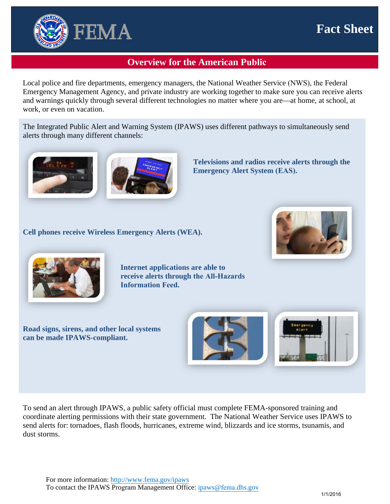## **Fact Sheet**



## **Overview for the American Public**

Local police and fire departments, emergency managers, the National Weather Service (NWS), the Federal Emergency Management Agency, and private industry are working together to make sure you can receive alerts and warnings quickly through several different technologies no matter where you are—at home, at school, at work, or even on vacation.

The Integrated Public Alert and Warning System (IPAWS) uses different pathways to simultaneously send alerts through many different channels:



**Televisions and radios receive alerts through the Emergency Alert System (EAS).**

**Cell phones receive Wireless Emergency Alerts (WEA).** 





**Internet applications are able to receive alerts through the All-Hazards Information Feed.**

**Road signs, sirens, and other local systems can be made IPAWS-compliant.** 





To send an alert through IPAWS, a public safety official must complete FEMA-sponsored training and coordinate alerting permissions with their state government. The National Weather Service uses IPAWS to send alerts for: tornadoes, flash floods, hurricanes, extreme wind, blizzards and ice storms, tsunamis, and dust storms.